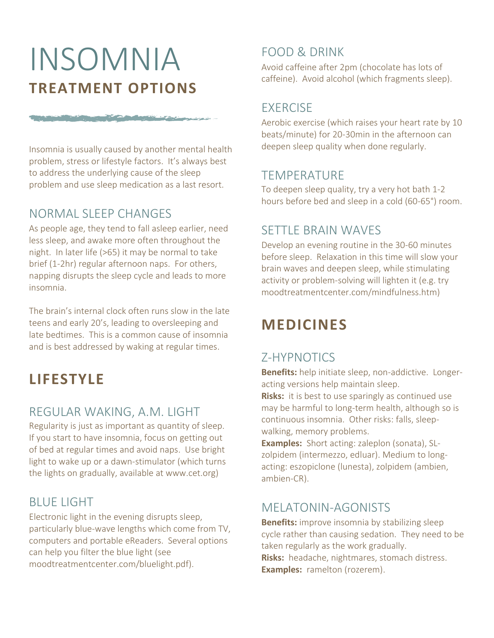# INSOMNIA **TREATMENT OPTIONS**

Insomnia is usually caused by another mental health problem, stress or lifestyle factors. It's always best to address the underlying cause of the sleep problem and use sleep medication as a last resort.

#### NORMAL SLEEP CHANGES

The subscription of the control of the first state

As people age, they tend to fall asleep earlier, need less sleep, and awake more often throughout the night. In later life (>65) it may be normal to take brief (1-2hr) regular afternoon naps. For others, napping disrupts the sleep cycle and leads to more insomnia.

The brain's internal clock often runs slow in the late teens and early 20's, leading to oversleeping and late bedtimes. This is a common cause of insomnia and is best addressed by waking at regular times.

## **LIFESTYLE**

#### REGULAR WAKING, A.M. LIGHT

Regularity is just as important as quantity of sleep. If you start to have insomnia, focus on getting out of bed at regular times and avoid naps. Use bright light to wake up or a dawn-stimulator (which turns the lights on gradually, available at www.cet.org)

#### BLUE LIGHT

Electronic light in the evening disrupts sleep, particularly blue-wave lengths which come from TV, computers and portable eReaders. Several options can help you filter the blue light (see moodtreatmentcenter.com/bluelight.pdf).

#### FOOD & DRINK

Avoid caffeine after 2pm (chocolate has lots of caffeine). Avoid alcohol (which fragments sleep).

#### EXERCISE

Aerobic exercise (which raises your heart rate by 10 beats/minute) for 20-30min in the afternoon can deepen sleep quality when done regularly.

#### TEMPERATURE

To deepen sleep quality, try a very hot bath 1-2 hours before bed and sleep in a cold (60-65°) room.

### SETTLE BRAIN WAVES

Develop an evening routine in the 30-60 minutes before sleep. Relaxation in this time will slow your brain waves and deepen sleep, while stimulating activity or problem-solving will lighten it (e.g. try moodtreatmentcenter.com/mindfulness.htm)

## **MEDICINES**

### Z-HYPNOTICS

**Benefits:** help initiate sleep, non-addictive. Longeracting versions help maintain sleep.

**Risks:** it is best to use sparingly as continued use may be harmful to long-term health, although so is continuous insomnia. Other risks: falls, sleepwalking, memory problems.

**Examples:** Short acting: zaleplon (sonata), SLzolpidem (intermezzo, edluar). Medium to longacting: eszopiclone (lunesta), zolpidem (ambien, ambien-CR).

#### MELATONIN-AGONISTS

**Benefits:** improve insomnia by stabilizing sleep cycle rather than causing sedation. They need to be taken regularly as the work gradually. **Risks:** headache, nightmares, stomach distress. **Examples:** ramelton (rozerem).